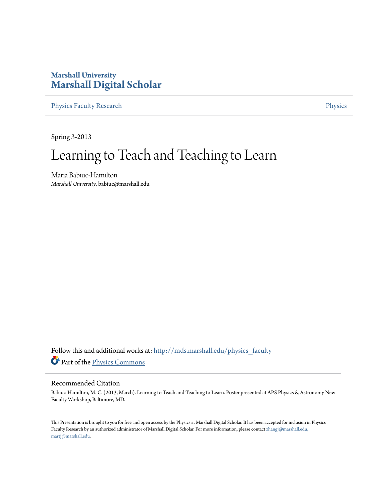#### **Marshall University [Marshall Digital Scholar](http://mds.marshall.edu?utm_source=mds.marshall.edu%2Fphysics_faculty%2F79&utm_medium=PDF&utm_campaign=PDFCoverPages)**

[Physics Faculty Research](http://mds.marshall.edu/physics_faculty?utm_source=mds.marshall.edu%2Fphysics_faculty%2F79&utm_medium=PDF&utm_campaign=PDFCoverPages) **[Physics](http://mds.marshall.edu/physics?utm_source=mds.marshall.edu%2Fphysics_faculty%2F79&utm_medium=PDF&utm_campaign=PDFCoverPages)** 

Spring 3-2013

#### Learning to Teach and Teaching to Learn

Maria Babiuc-Hamilton *Marshall University*, babiuc@marshall.edu

Follow this and additional works at: [http://mds.marshall.edu/physics\\_faculty](http://mds.marshall.edu/physics_faculty?utm_source=mds.marshall.edu%2Fphysics_faculty%2F79&utm_medium=PDF&utm_campaign=PDFCoverPages) Part of the [Physics Commons](http://network.bepress.com/hgg/discipline/193?utm_source=mds.marshall.edu%2Fphysics_faculty%2F79&utm_medium=PDF&utm_campaign=PDFCoverPages)

#### Recommended Citation

Babiuc-Hamilton, M. C. (2013, March). Learning to Teach and Teaching to Learn. Poster presented at APS Physics & Astronomy New Faculty Workshop, Baltimore, MD.

This Presentation is brought to you for free and open access by the Physics at Marshall Digital Scholar. It has been accepted for inclusion in Physics Faculty Research by an authorized administrator of Marshall Digital Scholar. For more information, please contact [zhangj@marshall.edu,](mailto:zhangj@marshall.edu,%20martj@marshall.edu) [martj@marshall.edu](mailto:zhangj@marshall.edu,%20martj@marshall.edu).